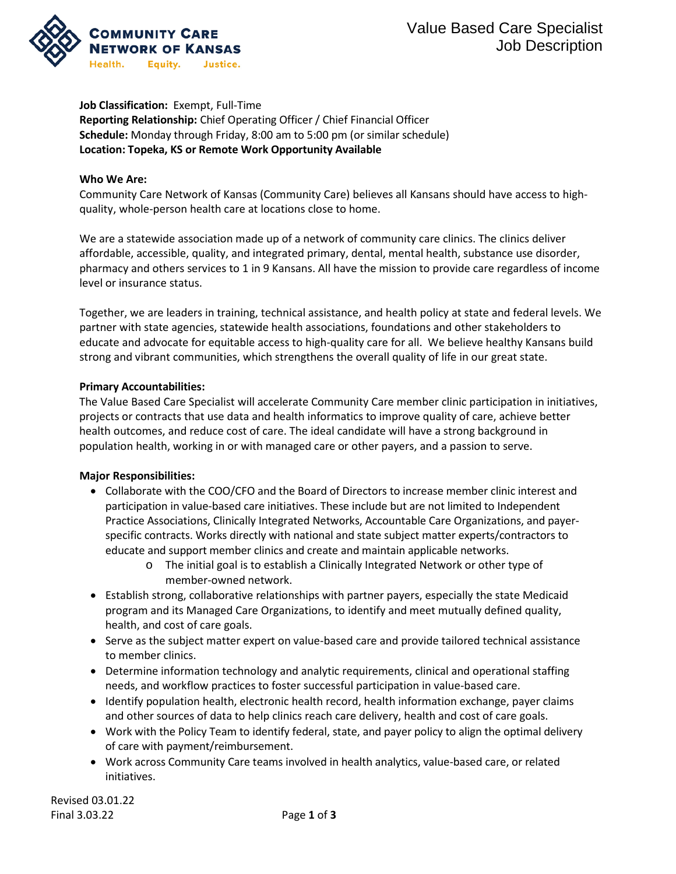

### **Job Classification:** Exempt, Full-Time

**Reporting Relationship:** Chief Operating Officer / Chief Financial Officer **Schedule:** Monday through Friday, 8:00 am to 5:00 pm (or similar schedule) **Location: Topeka, KS or Remote Work Opportunity Available**

### **Who We Are:**

Community Care Network of Kansas (Community Care) believes all Kansans should have access to highquality, whole-person health care at locations close to home.

We are a statewide association made up of a network of community care clinics. The clinics deliver affordable, accessible, quality, and integrated primary, dental, mental health, substance use disorder, pharmacy and others services to 1 in 9 Kansans. All have the mission to provide care regardless of income level or insurance status.

Together, we are leaders in training, technical assistance, and health policy at state and federal levels. We partner with state agencies, statewide health associations, foundations and other stakeholders to educate and advocate for equitable access to high-quality care for all. We believe healthy Kansans build strong and vibrant communities, which strengthens the overall quality of life in our great state.

## **Primary Accountabilities:**

The Value Based Care Specialist will accelerate Community Care member clinic participation in initiatives, projects or contracts that use data and health informatics to improve quality of care, achieve better health outcomes, and reduce cost of care. The ideal candidate will have a strong background in population health, working in or with managed care or other payers, and a passion to serve.

## **Major Responsibilities:**

- Collaborate with the COO/CFO and the Board of Directors to increase member clinic interest and participation in value-based care initiatives. These include but are not limited to Independent Practice Associations, Clinically Integrated Networks, Accountable Care Organizations, and payerspecific contracts. Works directly with national and state subject matter experts/contractors to educate and support member clinics and create and maintain applicable networks.
	- o The initial goal is to establish a Clinically Integrated Network or other type of member-owned network.
- Establish strong, collaborative relationships with partner payers, especially the state Medicaid program and its Managed Care Organizations, to identify and meet mutually defined quality, health, and cost of care goals.
- Serve as the subject matter expert on value-based care and provide tailored technical assistance to member clinics.
- Determine information technology and analytic requirements, clinical and operational staffing needs, and workflow practices to foster successful participation in value-based care.
- Identify population health, electronic health record, health information exchange, payer claims and other sources of data to help clinics reach care delivery, health and cost of care goals.
- Work with the Policy Team to identify federal, state, and payer policy to align the optimal delivery of care with payment/reimbursement.
- Work across Community Care teams involved in health analytics, value-based care, or related initiatives.

Revised 03.01.22 Final 3.03.22 Page **1** of **3**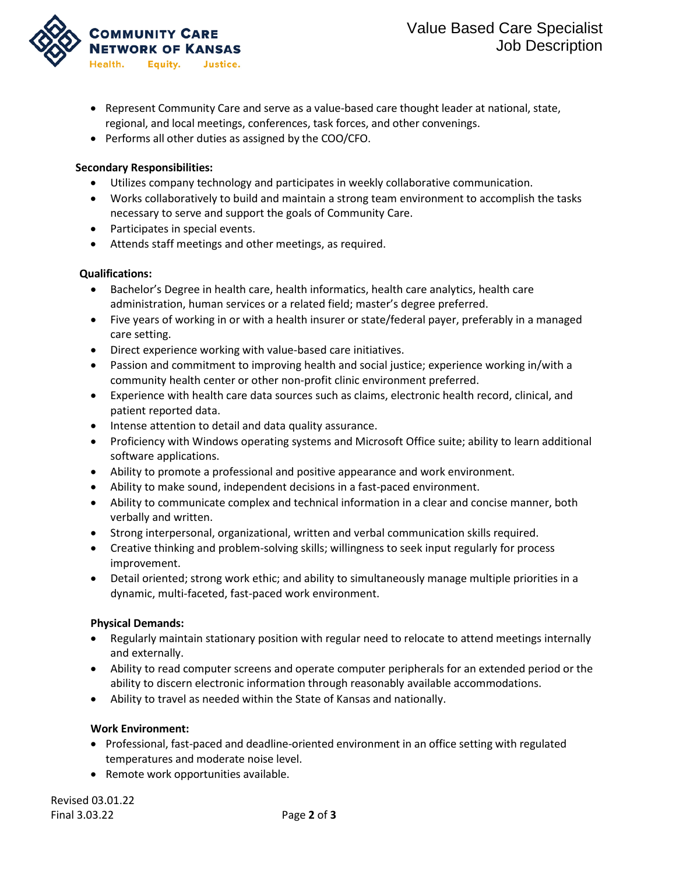

- Represent Community Care and serve as a value-based care thought leader at national, state, regional, and local meetings, conferences, task forces, and other convenings.
- Performs all other duties as assigned by the COO/CFO.

# **Secondary Responsibilities:**

- Utilizes company technology and participates in weekly collaborative communication.
- Works collaboratively to build and maintain a strong team environment to accomplish the tasks necessary to serve and support the goals of Community Care.
- Participates in special events.
- Attends staff meetings and other meetings, as required.

# **Qualifications:**

- Bachelor's Degree in health care, health informatics, health care analytics, health care administration, human services or a related field; master's degree preferred.
- Five years of working in or with a health insurer or state/federal payer, preferably in a managed care setting.
- Direct experience working with value-based care initiatives.
- Passion and commitment to improving health and social justice; experience working in/with a community health center or other non-profit clinic environment preferred.
- Experience with health care data sources such as claims, electronic health record, clinical, and patient reported data.
- Intense attention to detail and data quality assurance.
- Proficiency with Windows operating systems and Microsoft Office suite; ability to learn additional software applications.
- Ability to promote a professional and positive appearance and work environment.
- Ability to make sound, independent decisions in a fast-paced environment.
- Ability to communicate complex and technical information in a clear and concise manner, both verbally and written.
- Strong interpersonal, organizational, written and verbal communication skills required.
- Creative thinking and problem-solving skills; willingness to seek input regularly for process improvement.
- Detail oriented; strong work ethic; and ability to simultaneously manage multiple priorities in a dynamic, multi-faceted, fast-paced work environment.

# **Physical Demands:**

- Regularly maintain stationary position with regular need to relocate to attend meetings internally and externally.
- Ability to read computer screens and operate computer peripherals for an extended period or the ability to discern electronic information through reasonably available accommodations.
- Ability to travel as needed within the State of Kansas and nationally.

# **Work Environment:**

- Professional, fast-paced and deadline-oriented environment in an office setting with regulated temperatures and moderate noise level.
- Remote work opportunities available.

Revised 03.01.22 Final 3.03.22 Page **2** of **3**